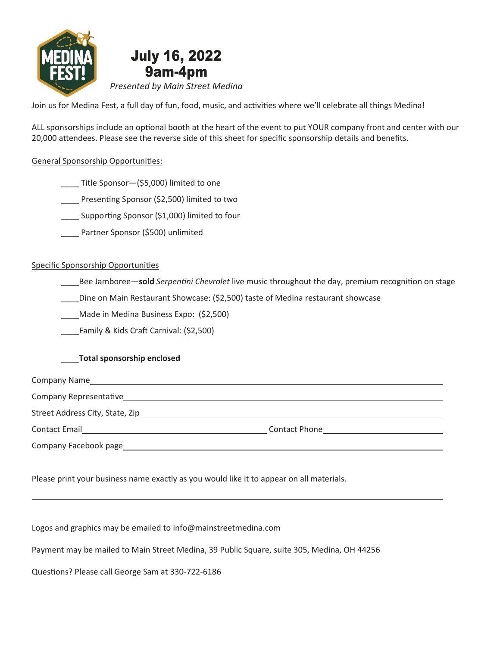

Join us for Medina Fest, a full day of fun, food, music, and activities where we'll celebrate all things Medina!

ALL sponsorships include an optional booth at the heart of the event to put YOUR company front and center with our 20,000 attendees. Please see the reverse side of this sheet for specific sponsorship details and benefits.

#### General Sponsorship Opportunities:

\_\_\_\_ Title Sponsor—(\$5,000) limited to one

\_\_\_\_ Presenting Sponsor (\$2,500) limited to two

Supporting Sponsor (\$1,000) limited to four

Partner Sponsor (\$500) unlimited

#### Specific Sponsorship Opportunities

Bee Jamboree—sold Serpentini Chevrolet live music throughout the day, premium recognition on stage

\_\_\_\_Dine on Main Restaurant Showcase: (\$2,500) taste of Medina restaurant showcase

\_\_\_\_Made in Medina Business Expo: (\$2,500)

\_\_\_\_Family & Kids Craft Carnival: (\$2,500)

#### \_\_\_\_Total sponsorship enclosed

| Company Name                    |                      |  |
|---------------------------------|----------------------|--|
| Company Representative          |                      |  |
| Street Address City, State, Zip |                      |  |
| <b>Contact Email</b>            | <b>Contact Phone</b> |  |
| Company Facebook page           |                      |  |

Please print your business name exactly as you would like it to appear on all materials.

Logos and graphics may be emailed to info@mainstreetmedina.com

Payment may be mailed to Main Street Medina, 39 Public Square, suite 305, Medina, OH 44256

Questions? Please call George Sam at 330-722-6186